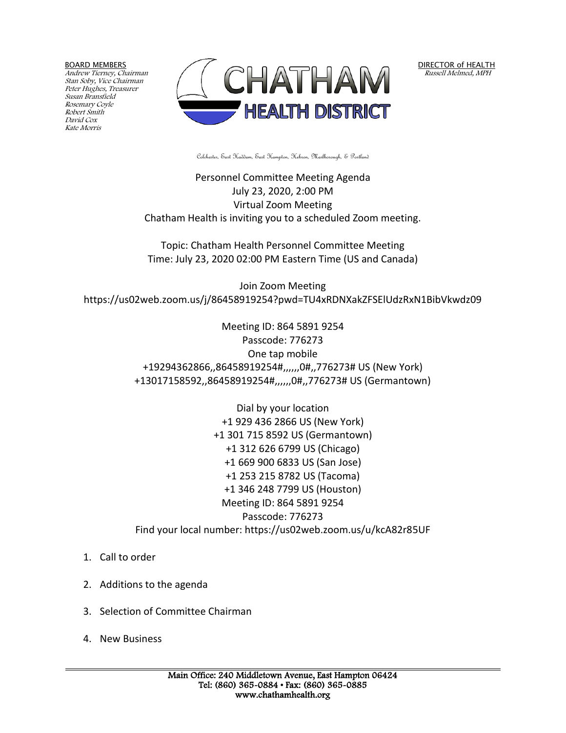BOARD MEMBERS

Andrew Tierney, Chairman Stan Soby, Vice Chairman Peter Hughes, Treasurer Susan Bransfield Rosemary Coyle Robert Smith David Cox Kate Morris



DIRECTOR of HEALTH Russell Melmed, MPH

Colchester, East Haddam, East Hampton, Hebron, Marlborough, & Portland

Personnel Committee Meeting Agenda July 23, 2020, 2:00 PM Virtual Zoom Meeting Chatham Health is inviting you to a scheduled Zoom meeting.

Topic: Chatham Health Personnel Committee Meeting Time: July 23, 2020 02:00 PM Eastern Time (US and Canada)

Join Zoom Meeting https://us02web.zoom.us/j/86458919254?pwd=TU4xRDNXakZFSElUdzRxN1BibVkwdz09

> Meeting ID: 864 5891 9254 Passcode: 776273 One tap mobile +19294362866,,86458919254#,,,,,,0#,,776273# US (New York) +13017158592,,86458919254#,,,,,,0#,,776273# US (Germantown)

> Dial by your location +1 929 436 2866 US (New York) +1 301 715 8592 US (Germantown) +1 312 626 6799 US (Chicago) +1 669 900 6833 US (San Jose) +1 253 215 8782 US (Tacoma) +1 346 248 7799 US (Houston) Meeting ID: 864 5891 9254 Passcode: 776273 Find your local number: https://us02web.zoom.us/u/kcA82r85UF

- 1. Call to order
- 2. Additions to the agenda
- 3. Selection of Committee Chairman
- 4. New Business